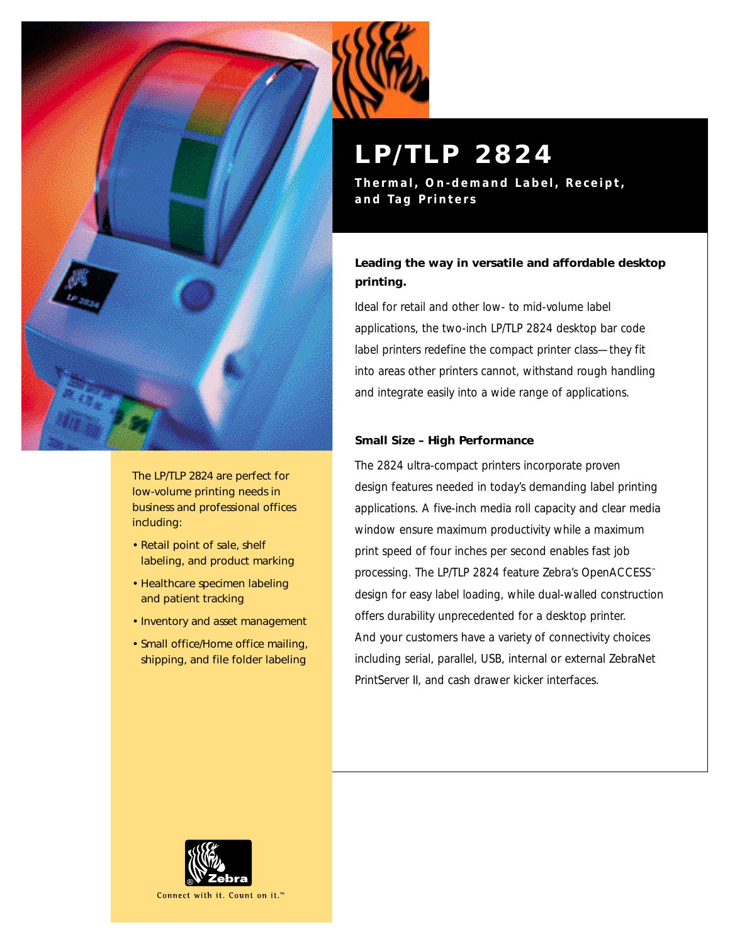

The LP/TLP 2824 are perfect for low-volume printing needs in business and professional offices including:

- Retail point of sale, shelf labeling, and product marking
- Healthcare specimen labeling and patient tracking
- Inventory and asset management
- Small office/Home office mailing, shipping, and file folder labeling

# **LP/TLP 2824**

**Thermal, On-demand Label, Receipt, and Tag Printers**

# **Leading the way in versatile and affordable desktop printing.**

Ideal for retail and other low- to mid-volume label applications, the two-inch LP/TLP 2824 desktop bar code label printers redefine the compact printer class—they fit into areas other printers cannot, withstand rough handling and integrate easily into a wide range of applications.

### **Small Size – High Performance**

The 2824 ultra-compact printers incorporate proven design features needed in today's demanding label printing applications. A five-inch media roll capacity and clear media window ensure maximum productivity while a maximum print speed of four inches per second enables fast job processing. The LP/TLP 2824 feature Zebra's OpenACCESS™ design for easy label loading, while dual-walled construction offers durability unprecedented for a desktop printer. And your customers have a variety of connectivity choices including serial, parallel, USB, internal or external ZebraNet PrintServer II, and cash drawer kicker interfaces.



Connect with it. Count on it.<sup>™</sup>